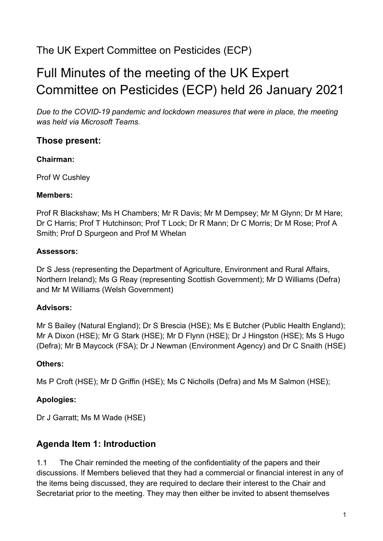## The UK Expert Committee on Pesticides (ECP)

# Full Minutes of the meeting of the UK Expert Committee on Pesticides (ECP) held 26 January 2021

*Due to the COVID-19 pandemic and lockdown measures that were in place, the meeting was held via Microsoft Teams.* 

#### **Those present:**

#### **Chairman:**

Prof W Cushley

#### **Members:**

Prof R Blackshaw; Ms H Chambers; Mr R Davis; Mr M Dempsey; Mr M Glynn; Dr M Hare; Dr C Harris; Prof T Hutchinson; Prof T Lock; Dr R Mann; Dr C Morris; Dr M Rose; Prof A Smith; Prof D Spurgeon and Prof M Whelan

#### **Assessors:**

Dr S Jess (representing the Department of Agriculture, Environment and Rural Affairs, Northern Ireland); Ms G Reay (representing Scottish Government); Mr D Williams (Defra) and Mr M Williams (Welsh Government)

#### **Advisors:**

Mr S Bailey (Natural England); Dr S Brescia (HSE); Ms E Butcher (Public Health England); Mr A Dixon (HSE); Mr G Stark (HSE); Mr D Flynn (HSE); Dr J Hingston (HSE); Ms S Hugo (Defra); Mr B Maycock (FSA); Dr J Newman (Environment Agency) and Dr C Snaith (HSE)

#### **Others:**

Ms P Croft (HSE); Mr D Griffin (HSE); Ms C Nicholls (Defra) and Ms M Salmon (HSE);

#### **Apologies:**

Dr J Garratt; Ms M Wade (HSE)

## **Agenda Item 1: Introduction**

1.1 The Chair reminded the meeting of the confidentiality of the papers and their discussions. If Members believed that they had a commercial or financial interest in any of the items being discussed, they are required to declare their interest to the Chair and Secretariat prior to the meeting. They may then either be invited to absent themselves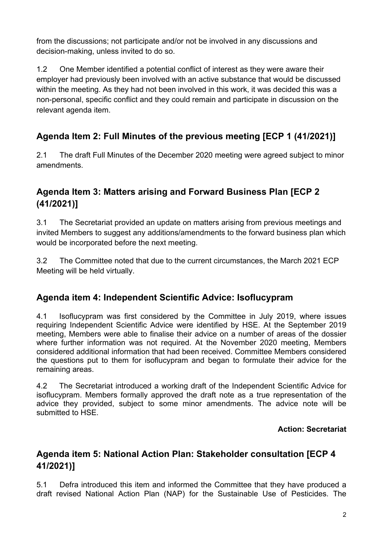from the discussions; not participate and/or not be involved in any discussions and decision-making, unless invited to do so.

1.2 One Member identified a potential conflict of interest as they were aware their employer had previously been involved with an active substance that would be discussed within the meeting. As they had not been involved in this work, it was decided this was a non-personal, specific conflict and they could remain and participate in discussion on the relevant agenda item.

## **Agenda Item 2: Full Minutes of the previous meeting [ECP 1 (41/2021)]**

2.1 The draft Full Minutes of the December 2020 meeting were agreed subject to minor amendments.

## **Agenda Item 3: Matters arising and Forward Business Plan [ECP 2 (41/2021)]**

3.1 The Secretariat provided an update on matters arising from previous meetings and invited Members to suggest any additions/amendments to the forward business plan which would be incorporated before the next meeting.

3.2 The Committee noted that due to the current circumstances, the March 2021 ECP Meeting will be held virtually.

## **Agenda item 4: Independent Scientific Advice: Isoflucypram**

4.1 Isoflucypram was first considered by the Committee in July 2019, where issues requiring Independent Scientific Advice were identified by HSE. At the September 2019 meeting, Members were able to finalise their advice on a number of areas of the dossier where further information was not required. At the November 2020 meeting, Members considered additional information that had been received. Committee Members considered the questions put to them for isoflucypram and began to formulate their advice for the remaining areas.

4.2 The Secretariat introduced a working draft of the Independent Scientific Advice for isoflucypram. Members formally approved the draft note as a true representation of the advice they provided, subject to some minor amendments. The advice note will be submitted to HSE.

#### **Action: Secretariat**

## **Agenda item 5: National Action Plan: Stakeholder consultation [ECP 4 41/2021)]**

5.1 Defra introduced this item and informed the Committee that they have produced a draft revised National Action Plan (NAP) for the Sustainable Use of Pesticides. The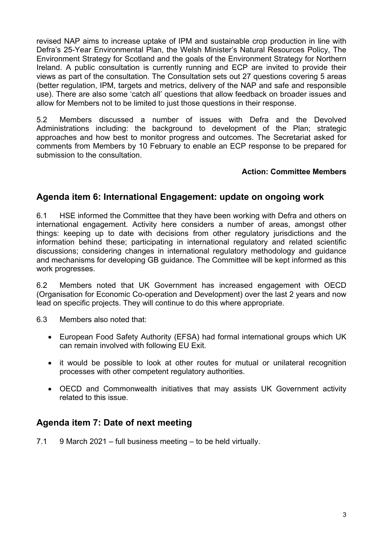revised NAP aims to increase uptake of IPM and sustainable crop production in line with Defra's 25-Year Environmental Plan, the Welsh Minister's Natural Resources Policy, The Environment Strategy for Scotland and the goals of the Environment Strategy for Northern Ireland. A public consultation is currently running and ECP are invited to provide their views as part of the consultation. The Consultation sets out 27 questions covering 5 areas (better regulation, IPM, targets and metrics, delivery of the NAP and safe and responsible use). There are also some 'catch all' questions that allow feedback on broader issues and allow for Members not to be limited to just those questions in their response.

5.2 Members discussed a number of issues with Defra and the Devolved Administrations including: the background to development of the Plan; strategic approaches and how best to monitor progress and outcomes. The Secretariat asked for comments from Members by 10 February to enable an ECP response to be prepared for submission to the consultation.

#### **Action: Committee Members**

#### **Agenda item 6: International Engagement: update on ongoing work**

6.1 HSE informed the Committee that they have been working with Defra and others on international engagement. Activity here considers a number of areas, amongst other things: keeping up to date with decisions from other regulatory jurisdictions and the information behind these; participating in international regulatory and related scientific discussions; considering changes in international regulatory methodology and guidance and mechanisms for developing GB guidance. The Committee will be kept informed as this work progresses.

6.2 Members noted that UK Government has increased engagement with OECD (Organisation for Economic Co-operation and Development) over the last 2 years and now lead on specific projects. They will continue to do this where appropriate.

- 6.3 Members also noted that:
	- European Food Safety Authority (EFSA) had formal international groups which UK can remain involved with following EU Exit.
	- it would be possible to look at other routes for mutual or unilateral recognition processes with other competent regulatory authorities.
	- OECD and Commonwealth initiatives that may assists UK Government activity related to this issue.

#### **Agenda item 7: Date of next meeting**

7.1 9 March 2021 – full business meeting – to be held virtually.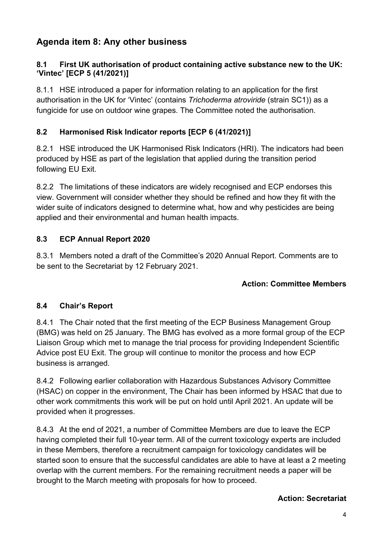## **Agenda item 8: Any other business**

#### **8.1 First UK authorisation of product containing active substance new to the UK: 'Vintec' [ECP 5 (41/2021)]**

8.1.1 HSE introduced a paper for information relating to an application for the first authorisation in the UK for 'Vintec' (contains *Trichoderma atroviride* (strain SC1)) as a fungicide for use on outdoor wine grapes. The Committee noted the authorisation.

#### **8.2 Harmonised Risk Indicator reports [ECP 6 (41/2021)]**

8.2.1 HSE introduced the UK Harmonised Risk Indicators (HRI). The indicators had been produced by HSE as part of the legislation that applied during the transition period following EU Exit.

8.2.2 The limitations of these indicators are widely recognised and ECP endorses this view. Government will consider whether they should be refined and how they fit with the wider suite of indicators designed to determine what, how and why pesticides are being applied and their environmental and human health impacts.

#### **8.3 ECP Annual Report 2020**

8.3.1 Members noted a draft of the Committee's 2020 Annual Report. Comments are to be sent to the Secretariat by 12 February 2021.

#### **Action: Committee Members**

#### **8.4 Chair's Report**

8.4.1 The Chair noted that the first meeting of the ECP Business Management Group (BMG) was held on 25 January. The BMG has evolved as a more formal group of the ECP Liaison Group which met to manage the trial process for providing Independent Scientific Advice post EU Exit. The group will continue to monitor the process and how ECP business is arranged.

8.4.2 Following earlier collaboration with Hazardous Substances Advisory Committee (HSAC) on copper in the environment, The Chair has been informed by HSAC that due to other work commitments this work will be put on hold until April 2021. An update will be provided when it progresses.

8.4.3 At the end of 2021, a number of Committee Members are due to leave the ECP having completed their full 10-year term. All of the current toxicology experts are included in these Members, therefore a recruitment campaign for toxicology candidates will be started soon to ensure that the successful candidates are able to have at least a 2 meeting overlap with the current members. For the remaining recruitment needs a paper will be brought to the March meeting with proposals for how to proceed.

#### **Action: Secretariat**